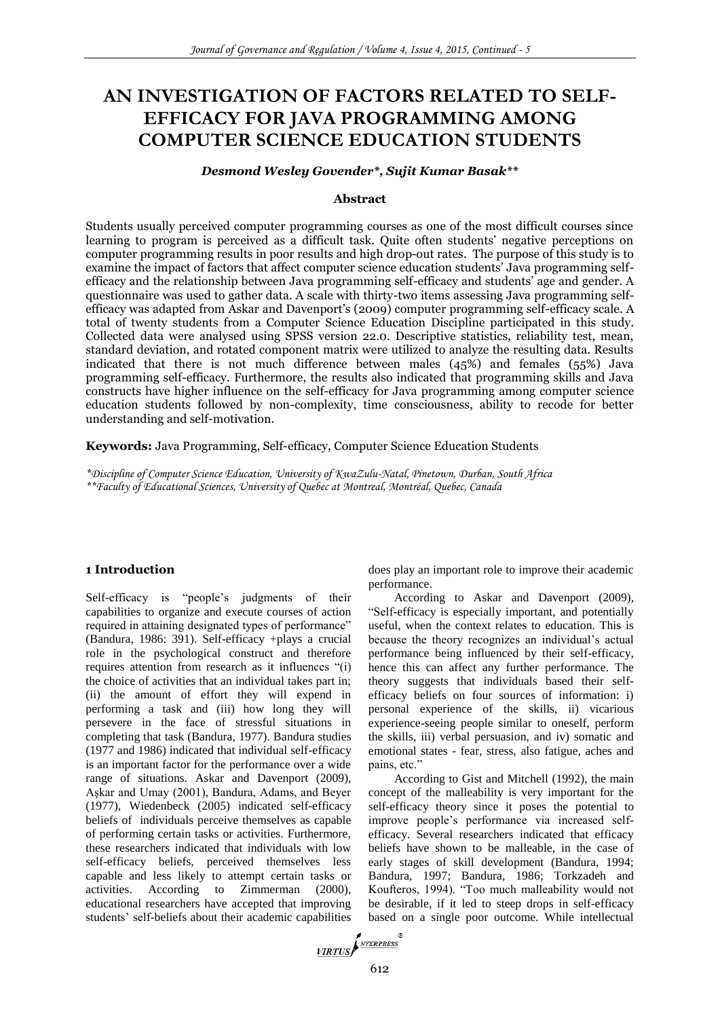# **AN INVESTIGATION OF FACTORS RELATED TO SELF-EFFICACY FOR JAVA PROGRAMMING AMONG COMPUTER SCIENCE EDUCATION STUDENTS**

#### *Desmond Wesley Govender\*, Sujit Kumar Basak\*\**

#### **Abstract**

Students usually perceived computer programming courses as one of the most difficult courses since learning to program is perceived as a difficult task. Quite often students' negative perceptions on computer programming results in poor results and high drop-out rates. The purpose of this study is to examine the impact of factors that affect computer science education students' Java programming selfefficacy and the relationship between Java programming self-efficacy and students' age and gender. A questionnaire was used to gather data. A scale with thirty-two items assessing Java programming selfefficacy was adapted from Askar and Davenport's (2009) computer programming self-efficacy scale. A total of twenty students from a Computer Science Education Discipline participated in this study. Collected data were analysed using SPSS version 22.0. Descriptive statistics, reliability test, mean, standard deviation, and rotated component matrix were utilized to analyze the resulting data. Results indicated that there is not much difference between males  $(45\%)$  and females  $(55\%)$  Java programming self-efficacy. Furthermore, the results also indicated that programming skills and Java constructs have higher influence on the self-efficacy for Java programming among computer science education students followed by non-complexity, time consciousness, ability to recode for better understanding and self-motivation.

**Keywords:** Java Programming, Self-efficacy, Computer Science Education Students

*\*Discipline of Computer Science Education, University of KwaZulu-Natal, Pinetown, Durban, South Africa \*\*Faculty of Educational Sciences, University of Quebec at Montreal, Montréal, Quebec, Canada*

#### **1 Introduction**

Self-efficacy is "people's judgments of their capabilities to organize and execute courses of action required in attaining designated types of performance" (Bandura, 1986: 391). Self-efficacy +plays a crucial role in the psychological construct and therefore requires attention from research as it influences "(i) the choice of activities that an individual takes part in; (ii) the amount of effort they will expend in performing a task and (iii) how long they will persevere in the face of stressful situations in completing that task (Bandura, 1977). Bandura studies (1977 and 1986) indicated that individual self-efficacy is an important factor for the performance over a wide range of situations. Askar and Davenport (2009), Aşkar and Umay (2001), Bandura, Adams, and Beyer (1977), Wiedenbeck (2005) indicated self-efficacy beliefs of individuals perceive themselves as capable of performing certain tasks or activities. Furthermore, these researchers indicated that individuals with low self-efficacy beliefs, perceived themselves less capable and less likely to attempt certain tasks or activities. According to Zimmerman (2000), educational researchers have accepted that improving students' self-beliefs about their academic capabilities does play an important role to improve their academic performance.

According to Askar and Davenport (2009), "Self-efficacy is especially important, and potentially useful, when the context relates to education. This is because the theory recognizes an individual's actual performance being influenced by their self-efficacy, hence this can affect any further performance. The theory suggests that individuals based their selfefficacy beliefs on four sources of information: i) personal experience of the skills, ii) vicarious experience-seeing people similar to oneself, perform the skills, iii) verbal persuasion, and iv) somatic and emotional states - fear, stress, also fatigue, aches and pains, etc."

According to Gist and Mitchell (1992), the main concept of the malleability is very important for the self-efficacy theory since it poses the potential to improve people's performance via increased selfefficacy. Several researchers indicated that efficacy beliefs have shown to be malleable, in the case of early stages of skill development (Bandura, 1994; Bandura, 1997; Bandura, 1986; Torkzadeh and Koufteros, 1994). "Too much malleability would not be desirable, if it led to steep drops in self-efficacy based on a single poor outcome. While intellectual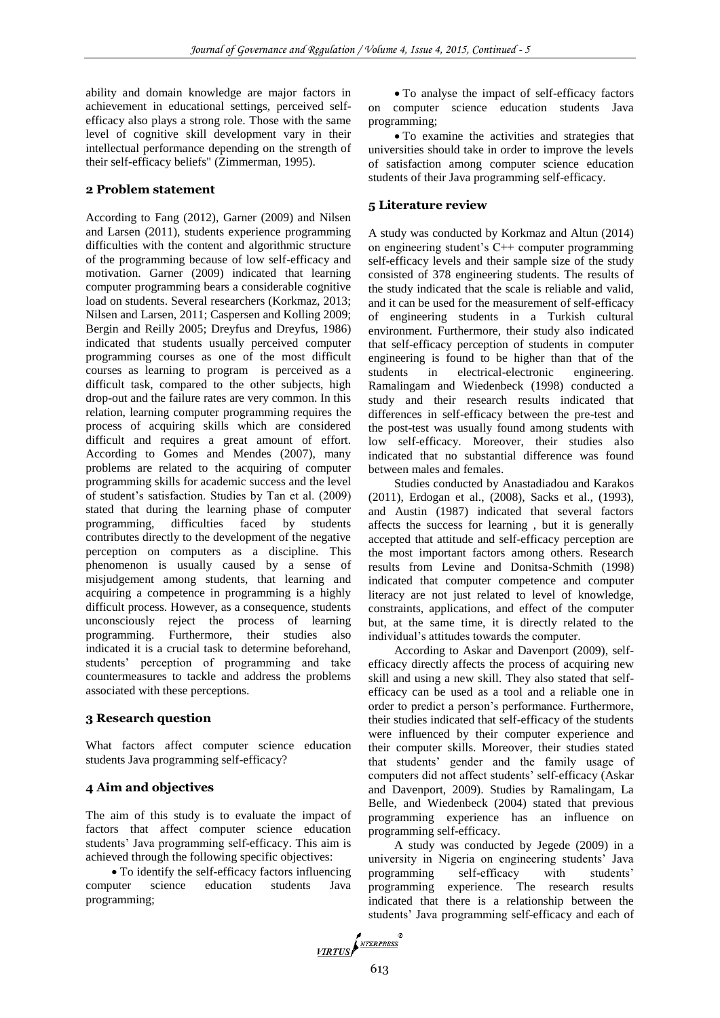ability and domain knowledge are major factors in achievement in educational settings, perceived selfefficacy also plays a strong role. Those with the same level of cognitive skill development vary in their intellectual performance depending on the strength of their self-efficacy beliefs" (Zimmerman, 1995).

### **2 Problem statement**

According to Fang (2012), Garner (2009) and Nilsen and Larsen (2011), students experience programming difficulties with the content and algorithmic structure of the programming because of low self-efficacy and motivation. Garner (2009) indicated that learning computer programming bears a considerable cognitive load on students. Several researchers (Korkmaz, 2013; Nilsen and Larsen, 2011; Caspersen and Kolling 2009; Bergin and Reilly 2005; Dreyfus and Dreyfus, 1986) indicated that students usually perceived computer programming courses as one of the most difficult courses as learning to program is perceived as a difficult task, compared to the other subjects, high drop-out and the failure rates are very common. In this relation, learning computer programming requires the process of acquiring skills which are considered difficult and requires a great amount of effort. According to Gomes and Mendes (2007), many problems are related to the acquiring of computer programming skills for academic success and the level of student's satisfaction. Studies by Tan et al. (2009) stated that during the learning phase of computer programming, difficulties faced by students contributes directly to the development of the negative perception on computers as a discipline. This phenomenon is usually caused by a sense of misjudgement among students, that learning and acquiring a competence in programming is a highly difficult process. However, as a consequence, students unconsciously reject the process of learning programming. Furthermore, their studies also indicated it is a crucial task to determine beforehand, students' perception of programming and take countermeasures to tackle and address the problems associated with these perceptions.

# **3 Research question**

What factors affect computer science education students Java programming self-efficacy?

# **4 Aim and objectives**

The aim of this study is to evaluate the impact of factors that affect computer science education students' Java programming self-efficacy. This aim is achieved through the following specific objectives:

• To identify the self-efficacy factors influencing computer science education students Java programming;

 To analyse the impact of self-efficacy factors on computer science education students Java programming;

 To examine the activities and strategies that universities should take in order to improve the levels of satisfaction among computer science education students of their Java programming self-efficacy.

# **5 Literature review**

A study was conducted by Korkmaz and Altun (2014) on engineering student's C++ computer programming self-efficacy levels and their sample size of the study consisted of 378 engineering students. The results of the study indicated that the scale is reliable and valid, and it can be used for the measurement of self-efficacy of engineering students in a Turkish cultural environment. Furthermore, their study also indicated that self-efficacy perception of students in computer engineering is found to be higher than that of the students in electrical-electronic engineering. Ramalingam and Wiedenbeck (1998) conducted a study and their research results indicated that differences in self-efficacy between the pre-test and the post-test was usually found among students with low self-efficacy. Moreover, their studies also indicated that no substantial difference was found between males and females.

Studies conducted by Anastadiadou and Karakos (2011), Erdogan et al., (2008), Sacks et al., (1993), and Austin (1987) indicated that several factors affects the success for learning , but it is generally accepted that attitude and self-efficacy perception are the most important factors among others. Research results from Levine and Donitsa-Schmith (1998) indicated that computer competence and computer literacy are not just related to level of knowledge, constraints, applications, and effect of the computer but, at the same time, it is directly related to the individual's attitudes towards the computer.

According to Askar and Davenport (2009), selfefficacy directly affects the process of acquiring new skill and using a new skill. They also stated that selfefficacy can be used as a tool and a reliable one in order to predict a person's performance. Furthermore, their studies indicated that self-efficacy of the students were influenced by their computer experience and their computer skills. Moreover, their studies stated that students' gender and the family usage of computers did not affect students' self-efficacy (Askar and Davenport, 2009). Studies by Ramalingam, La Belle, and Wiedenbeck (2004) stated that previous programming experience has an influence on programming self-efficacy.

A study was conducted by Jegede (2009) in a university in Nigeria on engineering students' Java programming self-efficacy with students' programming experience. The research results indicated that there is a relationship between the students' Java programming self-efficacy and each of

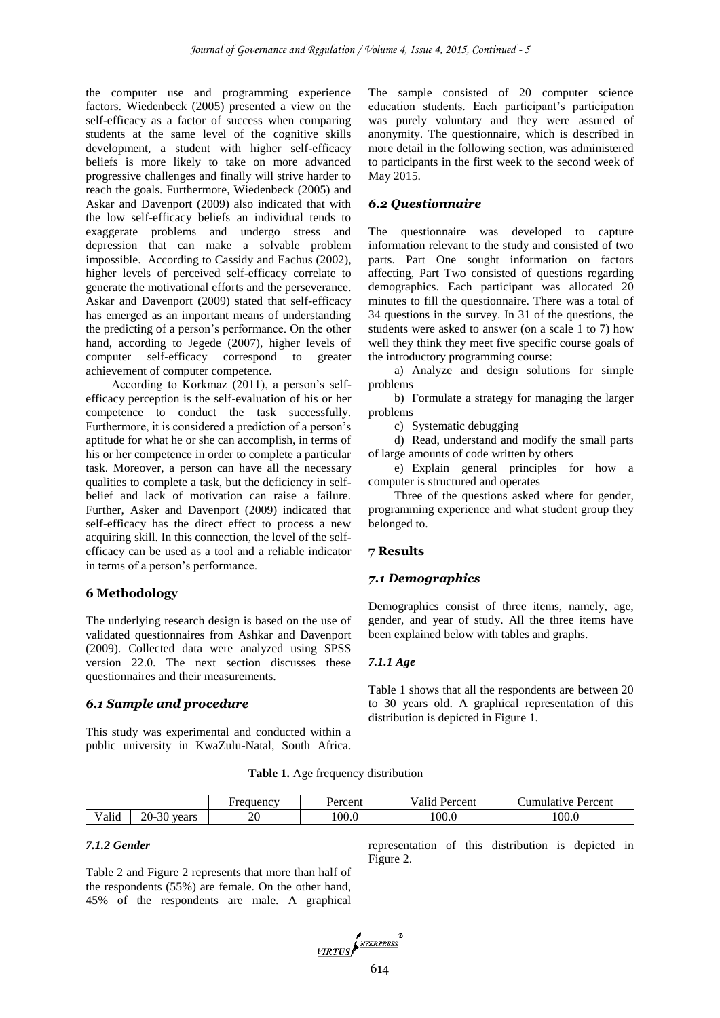the computer use and programming experience factors. Wiedenbeck (2005) presented a view on the self-efficacy as a factor of success when comparing students at the same level of the cognitive skills development, a student with higher self-efficacy beliefs is more likely to take on more advanced progressive challenges and finally will strive harder to reach the goals. Furthermore, Wiedenbeck (2005) and Askar and Davenport (2009) also indicated that with the low self-efficacy beliefs an individual tends to exaggerate problems and undergo stress and depression that can make a solvable problem impossible. According to Cassidy and Eachus (2002), higher levels of perceived self-efficacy correlate to generate the motivational efforts and the perseverance. Askar and Davenport (2009) stated that self-efficacy has emerged as an important means of understanding the predicting of a person's performance. On the other hand, according to Jegede (2007), higher levels of computer self-efficacy correspond to greater achievement of computer competence.

According to Korkmaz (2011), a person's selfefficacy perception is the self-evaluation of his or her competence to conduct the task successfully. Furthermore, it is considered a prediction of a person's aptitude for what he or she can accomplish, in terms of his or her competence in order to complete a particular task. Moreover, a person can have all the necessary qualities to complete a task, but the deficiency in selfbelief and lack of motivation can raise a failure. Further, Asker and Davenport (2009) indicated that self-efficacy has the direct effect to process a new acquiring skill. In this connection, the level of the selfefficacy can be used as a tool and a reliable indicator in terms of a person's performance.

#### **6 Methodology**

The underlying research design is based on the use of validated questionnaires from Ashkar and Davenport (2009). Collected data were analyzed using SPSS version 22.0. The next section discusses these questionnaires and their measurements.

#### *6.1 Sample and procedure*

This study was experimental and conducted within a public university in KwaZulu-Natal, South Africa. The sample consisted of 20 computer science education students. Each participant's participation was purely voluntary and they were assured of anonymity. The questionnaire, which is described in more detail in the following section, was administered to participants in the first week to the second week of May 2015.

# *6.2 Questionnaire*

The questionnaire was developed to capture information relevant to the study and consisted of two parts. Part One sought information on factors affecting, Part Two consisted of questions regarding demographics. Each participant was allocated 20 minutes to fill the questionnaire. There was a total of 34 questions in the survey. In 31 of the questions, the students were asked to answer (on a scale 1 to 7) how well they think they meet five specific course goals of the introductory programming course:

a) Analyze and design solutions for simple problems

b) Formulate a strategy for managing the larger problems

c) Systematic debugging

d) Read, understand and modify the small parts of large amounts of code written by others

e) Explain general principles for how a computer is structured and operates

Three of the questions asked where for gender, programming experience and what student group they belonged to.

#### **7 Results**

#### *7.1 Demographics*

Demographics consist of three items, namely, age, gender, and year of study. All the three items have been explained below with tables and graphs.

#### *7.1.1 Age*

Table 1 shows that all the respondents are between 20 to 30 years old. A graphical representation of this distribution is depicted in Figure 1.

**Table 1.** Age frequency distribution

|              |                                  | requency. | 'ercent | $\bullet$<br>Percent<br>/alid | <b>Percent</b><br>amulative |
|--------------|----------------------------------|-----------|---------|-------------------------------|-----------------------------|
| 1.1<br>Valıd | $\bigcap$<br>20-<br>vears<br>∙o∪ | or<br>∠∪  | 100.0   | 100.0                         | 100.0                       |

#### *7.1.2 Gender*

Table 2 and Figure 2 represents that more than half of the respondents (55%) are female. On the other hand, 45% of the respondents are male. A graphical

representation of this distribution is depicted in Figure 2.

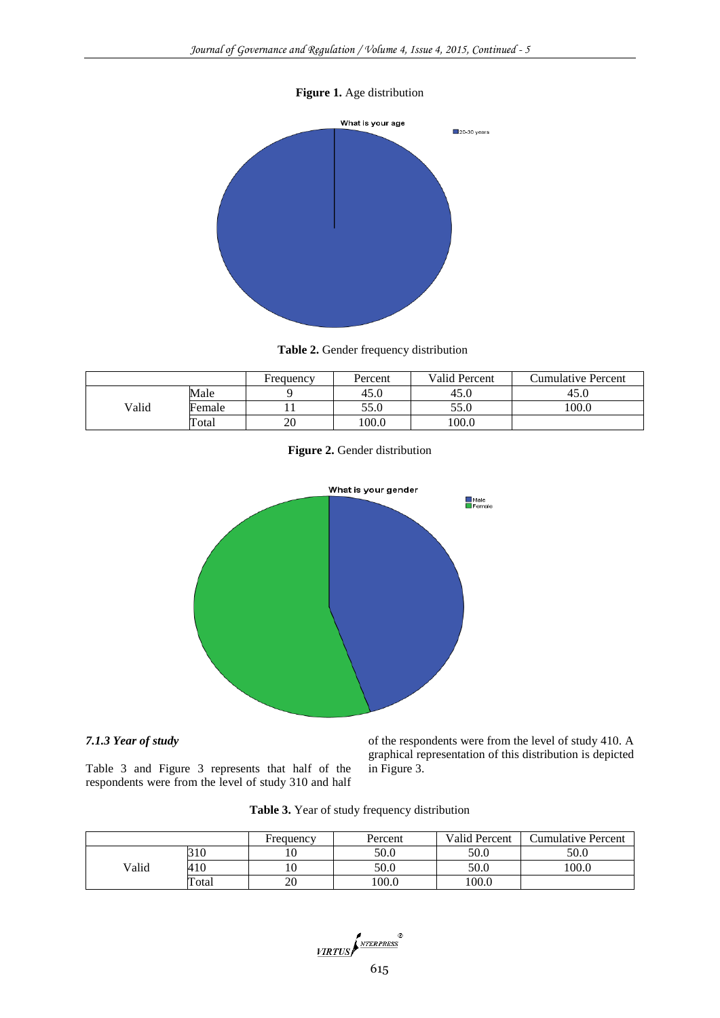# **Figure 1.** Age distribution



**Table 2.** Gender frequency distribution

|       |        | Frequency | Percent | Valid Percent | <b>Cumulative Percent</b> |
|-------|--------|-----------|---------|---------------|---------------------------|
|       | Male   |           | 45.0    | 45.0          | 45.0                      |
| Valid | Female |           | 55.0    | 55.0          | 100.0                     |
|       | Total  | 20        | 100.0   | 100.0         |                           |

**Figure 2.** Gender distribution



# *7.1.3 Year of study*

Table 3 and Figure 3 represents that half of the respondents were from the level of study 310 and half of the respondents were from the level of study 410. A graphical representation of this distribution is depicted in Figure 3.

|  |  |  |  | Table 3. Year of study frequency distribution |
|--|--|--|--|-----------------------------------------------|
|--|--|--|--|-----------------------------------------------|

|       |       | Frequency | Percent | Valid Percent | <b>Cumulative Percent</b> |
|-------|-------|-----------|---------|---------------|---------------------------|
|       | 310   | 10        | 50.0    | 50.0          | 50.0                      |
| Valid | 410   | 10        | 50.0    | 50.0          | 100.0                     |
|       | Total | 20        | 100.0   | 100.0         |                           |

 $\frac{\sqrt{VIRTUS}}{\sqrt{VIRTUS}}$  615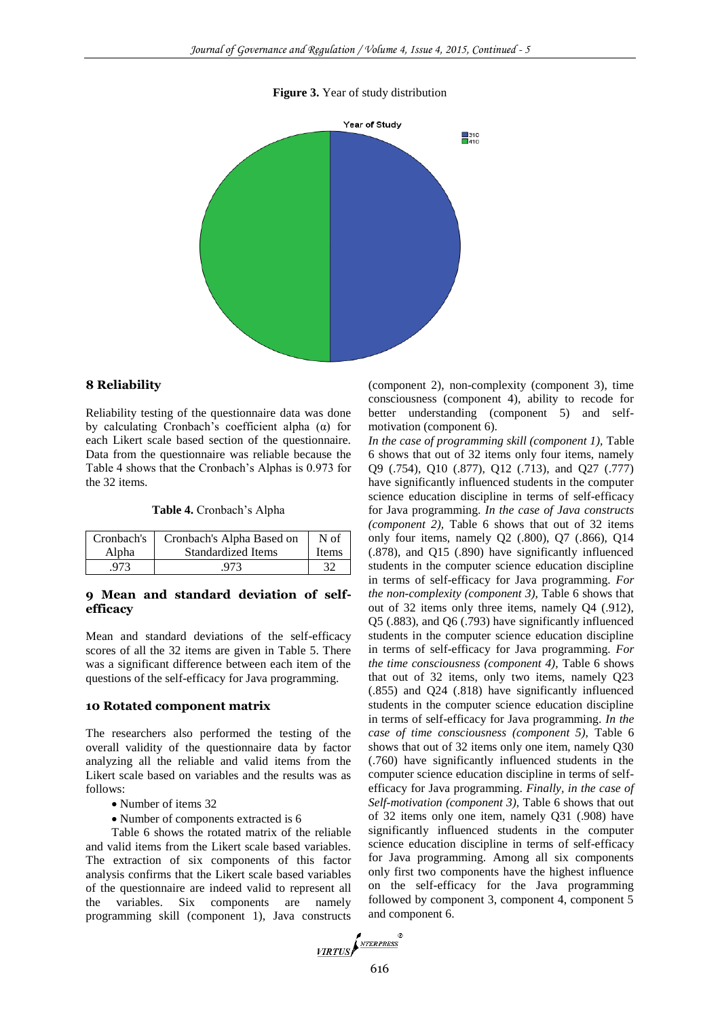#### **Figure 3.** Year of study distribution



### **8 Reliability**

Reliability testing of the questionnaire data was done by calculating Cronbach's coefficient alpha (α) for each Likert scale based section of the questionnaire. Data from the questionnaire was reliable because the Table 4 shows that the Cronbach's Alphas is 0.973 for the 32 items.

#### **Table 4.** Cronbach's Alpha

| Cronbach's | Cronbach's Alpha Based on | N of         |
|------------|---------------------------|--------------|
| Alpha      | <b>Standardized Items</b> | <b>Items</b> |
| 973        | 973                       |              |

#### **9 Mean and standard deviation of selfefficacy**

Mean and standard deviations of the self-efficacy scores of all the 32 items are given in Table 5. There was a significant difference between each item of the questions of the self-efficacy for Java programming.

# **10 Rotated component matrix**

The researchers also performed the testing of the overall validity of the questionnaire data by factor analyzing all the reliable and valid items from the Likert scale based on variables and the results was as follows:

- Number of items 32
- Number of components extracted is 6

Table 6 shows the rotated matrix of the reliable and valid items from the Likert scale based variables. The extraction of six components of this factor analysis confirms that the Likert scale based variables of the questionnaire are indeed valid to represent all the variables. Six components are namely programming skill (component 1), Java constructs (component 2), non-complexity (component 3), time consciousness (component 4), ability to recode for better understanding (component 5) and selfmotivation (component 6).

*In the case of programming skill (component 1),* Table 6 shows that out of 32 items only four items, namely Q9 (.754), Q10 (.877), Q12 (.713), and Q27 (.777) have significantly influenced students in the computer science education discipline in terms of self-efficacy for Java programming. *In the case of Java constructs (component 2),* Table 6 shows that out of 32 items only four items, namely Q2 (.800), Q7 (.866), Q14 (.878), and Q15 (.890) have significantly influenced students in the computer science education discipline in terms of self-efficacy for Java programming. *For the non-complexity (component 3),* Table 6 shows that out of 32 items only three items, namely Q4 (.912), Q5 (.883), and Q6 (.793) have significantly influenced students in the computer science education discipline in terms of self-efficacy for Java programming. *For the time consciousness (component 4),* Table 6 shows that out of 32 items, only two items, namely Q23 (.855) and Q24 (.818) have significantly influenced students in the computer science education discipline in terms of self-efficacy for Java programming. *In the case of time consciousness (component 5),* Table 6 shows that out of 32 items only one item, namely Q30 (.760) have significantly influenced students in the computer science education discipline in terms of selfefficacy for Java programming. *Finally, in the case of Self-motivation (component 3),* Table 6 shows that out of 32 items only one item, namely Q31 (.908) have significantly influenced students in the computer science education discipline in terms of self-efficacy for Java programming. Among all six components only first two components have the highest influence on the self-efficacy for the Java programming followed by component 3, component 4, component 5 and component 6.

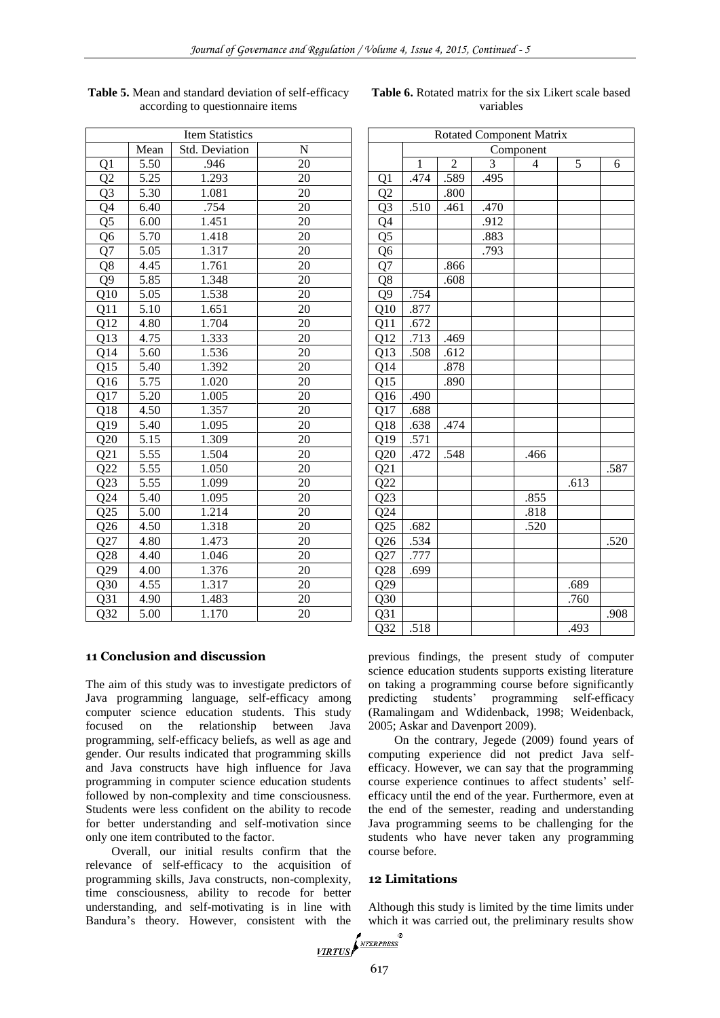| <b>Item Statistics</b> |                   |                    |    |  |
|------------------------|-------------------|--------------------|----|--|
|                        | Mean              | Std. Deviation     | N  |  |
| Q1                     | 5.50              | .946               | 20 |  |
| Q2                     | $\overline{5.25}$ | 1.293              | 20 |  |
| $Q\overline{3}$        | 5.30              | 1.081              | 20 |  |
| $Q\overline{4}$        | 6.40              | .754               | 20 |  |
| $Q\overline{5}$        | 6.00              | $1.45\overline{1}$ | 20 |  |
| Q6                     | 5.70              | 1.418              | 20 |  |
| Q7                     | 5.05              | 1.317              | 20 |  |
| Q8                     | 4.45              | 1.761              | 20 |  |
| Q <sub>9</sub>         | 5.85              | 1.348              | 20 |  |
| Q10                    | 5.05              | 1.538              | 20 |  |
| Q11                    | 5.10              | 1.651              | 20 |  |
| Q12                    | 4.80              | 1.704              | 20 |  |
| Q13                    | 4.75              | 1.333              | 20 |  |
| Q14                    | 5.60              | 1.536              | 20 |  |
| Q15                    | 5.40              | 1.392              | 20 |  |
| Q16                    | 5.75              | 1.020              | 20 |  |
| Q17                    | 5.20              | 1.005              | 20 |  |
| Q18                    | 4.50              | 1.357              | 20 |  |
| Q19                    | 5.40              | 1.095              | 20 |  |
| Q20                    | 5.15              | 1.309              | 20 |  |
| Q21                    | 5.55              | 1.504              | 20 |  |
| Q22                    | 5.55              | 1.050              | 20 |  |
| Q23                    | 5.55              | 1.099              | 20 |  |
| Q24                    | 5.40              | 1.095              | 20 |  |
| Q25                    | 5.00              | 1.214              | 20 |  |
| Q26                    | 4.50              | 1.318              | 20 |  |
| Q27                    | 4.80              | 1.473              | 20 |  |
| Q28                    | 4.40              | 1.046              | 20 |  |
| Q29                    | 4.00              | 1.376              | 20 |  |
| Q30                    | 4.55              | 1.317              | 20 |  |
| Q31                    | 4.90              | 1.483              | 20 |  |
| Q32                    | 5.00              | 1.170              | 20 |  |

| Table 5. Mean and standard deviation of self-efficacy |
|-------------------------------------------------------|
| according to questionnaire items                      |

# **Table 6.** Rotated matrix for the six Likert scale based variables

# Rotated Component Matrix Component  $1 \mid 2 \mid 3 \mid 4 \mid 5 \mid 6$ Q1 .474 .589 .495  $Q2$  .800 Q3 .510 .461 .470 04 .912 Q5 883 06 .793  $Q7$  | .866 Q8 608 Q9 .754 Q10 .877 Q11 .672 Q12 .713 .469 Q13 .508 .612 014 .878 015 .890 Q16 .490 Q17 .688 Q18 .638 .474 Q19 .571  $Q20$  .472 .548 .466  $Q21$  .587  $Q22$  .613 623 .855 024 .818 025 .682 .520  $Q26$  .534 .534 .520 Q27 .777 Q28 .699  $Q29$  .689  $Q30$  .760  $Q31$  .908  $Q32$  .518 .493

# **11 Conclusion and discussion**

The aim of this study was to investigate predictors of Java programming language, self-efficacy among computer science education students. This study focused on the relationship between Java programming, self-efficacy beliefs, as well as age and gender. Our results indicated that programming skills and Java constructs have high influence for Java programming in computer science education students followed by non-complexity and time consciousness. Students were less confident on the ability to recode for better understanding and self-motivation since only one item contributed to the factor.

Overall, our initial results confirm that the relevance of self-efficacy to the acquisition of programming skills, Java constructs, non-complexity, time consciousness, ability to recode for better understanding, and self-motivating is in line with Bandura's theory. However, consistent with the

previous findings, the present study of computer science education students supports existing literature on taking a programming course before significantly predicting students' programming self-efficacy (Ramalingam and Wdidenback, 1998; Weidenback, 2005; Askar and Davenport 2009).

On the contrary, Jegede (2009) found years of computing experience did not predict Java selfefficacy. However, we can say that the programming course experience continues to affect students' selfefficacy until the end of the year. Furthermore, even at the end of the semester, reading and understanding Java programming seems to be challenging for the students who have never taken any programming course before.

# **12 Limitations**

Although this study is limited by the time limits under which it was carried out, the preliminary results show

VIRTUS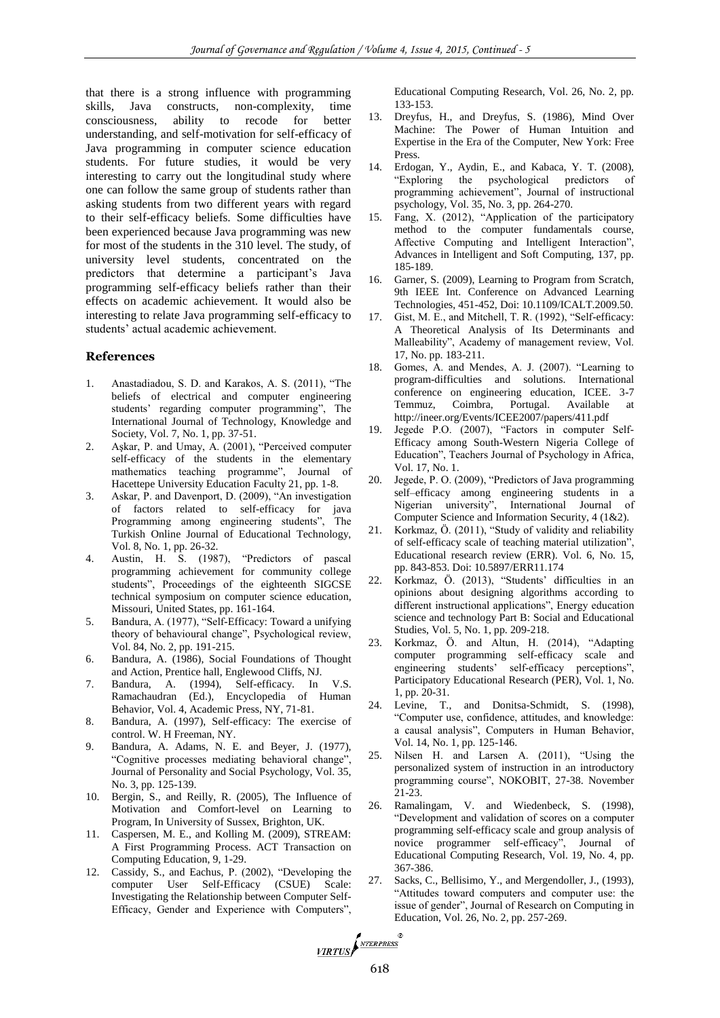that there is a strong influence with programming skills, Java constructs, non-complexity, time consciousness, ability to recode for better understanding, and self-motivation for self-efficacy of Java programming in computer science education students. For future studies, it would be very interesting to carry out the longitudinal study where one can follow the same group of students rather than asking students from two different years with regard to their self-efficacy beliefs. Some difficulties have been experienced because Java programming was new for most of the students in the 310 level. The study, of university level students, concentrated on the predictors that determine a participant's Java programming self-efficacy beliefs rather than their effects on academic achievement. It would also be interesting to relate Java programming self-efficacy to students' actual academic achievement.

#### **References**

- 1. Anastadiadou, S. D. and Karakos, A. S. (2011), "The beliefs of electrical and computer engineering students' regarding computer programming", The International Journal of Technology, Knowledge and Society, Vol. 7, No. 1, pp. 37-51.
- 2. Aşkar, P. and Umay, A. (2001), "Perceived computer self-efficacy of the students in the elementary mathematics teaching programme", Journal of Hacettepe University Education Faculty 21, pp. 1-8.
- 3. Askar, P. and Davenport, D. (2009), "An investigation of factors related to self-efficacy for java Programming among engineering students", The Turkish Online Journal of Educational Technology, Vol. 8, No. 1, pp. 26-32.
- 4. Austin, H. S. (1987), "Predictors of pascal programming achievement for community college students", Proceedings of the eighteenth SIGCSE technical symposium on computer science education, Missouri, United States, pp. 161-164.
- 5. Bandura, A. (1977), "Self-Efficacy: Toward a unifying theory of behavioural change", Psychological review, Vol. 84, No. 2, pp. 191-215.
- 6. Bandura, A. (1986), Social Foundations of Thought and Action, Prentice hall, Englewood Cliffs, NJ.
- 7. Bandura, A. (1994), Self-efficacy. In V.S. Ramachaudran (Ed.), Encyclopedia of Human Behavior, Vol. 4, Academic Press, NY, 71-81.
- 8. Bandura, A. (1997), Self-efficacy: The exercise of control. W. H Freeman, NY.
- 9. Bandura, A. Adams, N. E. and Beyer, J. (1977), "Cognitive processes mediating behavioral change", Journal of Personality and Social Psychology, Vol. 35, No. 3, pp. 125-139.
- 10. Bergin, S., and Reilly, R. (2005), The Influence of Motivation and Comfort-level on Learning to Program, In University of Sussex, Brighton, UK.
- 11. Caspersen, M. E., and Kolling M. (2009), STREAM: A First Programming Process. ACT Transaction on Computing Education, 9, 1-29.
- 12. Cassidy, S., and Eachus, P. (2002), "Developing the computer User Self-Efficacy (CSUE) Scale: Investigating the Relationship between Computer Self-Efficacy, Gender and Experience with Computers",

Educational Computing Research, Vol. 26, No. 2, pp. 133-153.

- 13. Dreyfus, H., and Dreyfus, S. (1986), Mind Over Machine: The Power of Human Intuition and Expertise in the Era of the Computer, New York: Free Press.
- 14. Erdogan, Y., Aydin, E., and Kabaca, Y. T. (2008), "Exploring the psychological predictors of programming achievement", Journal of instructional psychology, Vol. 35, No. 3, pp. 264-270.
- 15. Fang, X. (2012), "Application of the participatory method to the computer fundamentals course, Affective Computing and Intelligent Interaction", Advances in Intelligent and Soft Computing, 137, pp. 185-189.
- 16. Garner, S. (2009), Learning to Program from Scratch, 9th IEEE Int. Conference on Advanced Learning Technologies, 451-452, Doi: 10.1109/ICALT.2009.50.
- 17. Gist, M. E., and Mitchell, T. R. (1992), "Self-efficacy: A Theoretical Analysis of Its Determinants and Malleability", Academy of management review, Vol. 17, No. pp. 183-211.
- 18. Gomes, A. and Mendes, A. J. (2007). "Learning to program-difficulties and solutions. International conference on engineering education, ICEE. 3-7 Temmuz, Coimbra, Portugal. Available at http://ineer.org/Events/ICEE2007/papers/411.pdf
- 19. Jegede P.O. (2007), "Factors in computer Self-Efficacy among South-Western Nigeria College of Education", Teachers Journal of Psychology in Africa, Vol. 17, No. 1.
- 20. Jegede, P. O. (2009), "Predictors of Java programming self–efficacy among engineering students in a Nigerian university", International Journal of Computer Science and Information Security, 4 (1&2).
- 21. Korkmaz, Ö. (2011), "Study of validity and reliability of self-efficacy scale of teaching material utilization", Educational research review (ERR). Vol. 6, No. 15, pp. 843-853. Doi: 10.5897/ERR11.174
- 22. Korkmaz, Ö. (2013), "Students' difficulties in an opinions about designing algorithms according to different instructional applications", Energy education science and technology Part B: Social and Educational Studies, Vol. 5, No. 1, pp. 209-218.
- 23. Korkmaz, Ö. and Altun, H. (2014), "Adapting computer programming self-efficacy scale and engineering students' self-efficacy perceptions", Participatory Educational Research (PER), Vol. 1, No. 1, pp. 20-31.
- 24. Levine, T., and Donitsa-Schmidt, S. (1998), "Computer use, confidence, attitudes, and knowledge: a causal analysis", Computers in Human Behavior, Vol. 14, No. 1, pp. 125-146.
- 25. Nilsen H. and Larsen A. (2011), "Using the personalized system of instruction in an introductory programming course", NOKOBIT, 27-38. November 21-23.
- 26. Ramalingam, V. and Wiedenbeck, S. (1998), "Development and validation of scores on a computer programming self-efficacy scale and group analysis of novice programmer self-efficacy", Journal of Educational Computing Research, Vol. 19, No. 4, pp. 367-386.
- 27. Sacks, C., Bellisimo, Y., and Mergendoller, J., (1993), "Attitudes toward computers and computer use: the issue of gender", Journal of Research on Computing in Education, Vol. 26, No. 2, pp. 257-269.

VIRTUS